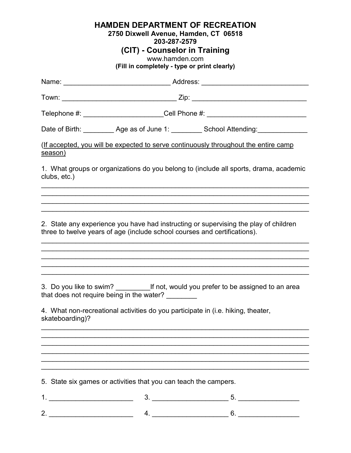## **HAMDEN DEPARTMENT OF RECREATION**

## **2750 Dixwell Avenue, Hamden, CT 06518**

**203-287-2579**

## **(CIT) - Counselor in Training**

www.hamden.com

**(Fill in completely - type or print clearly)**

|                                                                                                                                                                   | Name: ___________________________________Address: ______________________________           |  |  |
|-------------------------------------------------------------------------------------------------------------------------------------------------------------------|--------------------------------------------------------------------------------------------|--|--|
|                                                                                                                                                                   |                                                                                            |  |  |
|                                                                                                                                                                   | Telephone #: ________________________Cell Phone #: _____________________________           |  |  |
|                                                                                                                                                                   | Date of Birth: _________ Age as of June 1: _________ School Attending: __________          |  |  |
| (If accepted, you will be expected to serve continuously throughout the entire camp<br>season)                                                                    |                                                                                            |  |  |
| clubs, etc.)                                                                                                                                                      | 1. What groups or organizations do you belong to (include all sports, drama, academic      |  |  |
|                                                                                                                                                                   |                                                                                            |  |  |
|                                                                                                                                                                   |                                                                                            |  |  |
| 2. State any experience you have had instructing or supervising the play of children<br>three to twelve years of age (include school courses and certifications). |                                                                                            |  |  |
|                                                                                                                                                                   |                                                                                            |  |  |
|                                                                                                                                                                   |                                                                                            |  |  |
|                                                                                                                                                                   |                                                                                            |  |  |
| that does not require being in the water?                                                                                                                         | 3. Do you like to swim? ________________If not, would you prefer to be assigned to an area |  |  |
| 4. What non-recreational activities do you participate in (i.e. hiking, theater,<br>skateboarding)?                                                               |                                                                                            |  |  |
|                                                                                                                                                                   |                                                                                            |  |  |
|                                                                                                                                                                   |                                                                                            |  |  |
|                                                                                                                                                                   |                                                                                            |  |  |
|                                                                                                                                                                   |                                                                                            |  |  |
| 5. State six games or activities that you can teach the campers.                                                                                                  |                                                                                            |  |  |
| <u>1. _____________________________</u>                                                                                                                           |                                                                                            |  |  |
|                                                                                                                                                                   |                                                                                            |  |  |